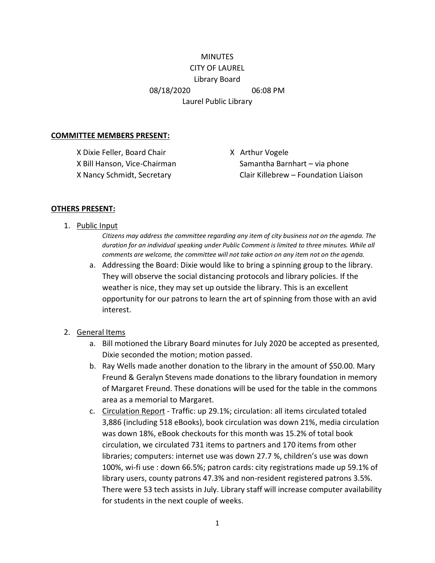# **MINUTES** CITY OF LAUREL Library Board 08/18/2020 06:08 PM Laurel Public Library

#### **COMMITTEE MEMBERS PRESENT:**

X Dixie Feller, Board Chair X Arthur Vogele

X Bill Hanson, Vice-Chairman Samantha Barnhart – via phone X Nancy Schmidt, Secretary Clair Killebrew – Foundation Liaison

#### **OTHERS PRESENT:**

1. Public Input

*Citizens may address the committee regarding any item of city business not on the agenda. The duration for an individual speaking under Public Comment is limited to three minutes. While all comments are welcome, the committee will not take action on any item not on the agenda.*

a. Addressing the Board: Dixie would like to bring a spinning group to the library. They will observe the social distancing protocols and library policies. If the weather is nice, they may set up outside the library. This is an excellent opportunity for our patrons to learn the art of spinning from those with an avid interest.

#### 2. General Items

- a. Bill motioned the Library Board minutes for July 2020 be accepted as presented, Dixie seconded the motion; motion passed.
- b. Ray Wells made another donation to the library in the amount of \$50.00. Mary Freund & Geralyn Stevens made donations to the library foundation in memory of Margaret Freund. These donations will be used for the table in the commons area as a memorial to Margaret.
- c. Circulation Report Traffic: up 29.1%; circulation: all items circulated totaled 3,886 (including 518 eBooks), book circulation was down 21%, media circulation was down 18%, eBook checkouts for this month was 15.2% of total book circulation, we circulated 731 items to partners and 170 items from other libraries; computers: internet use was down 27.7 %, children's use was down 100%, wi-fi use : down 66.5%; patron cards: city registrations made up 59.1% of library users, county patrons 47.3% and non-resident registered patrons 3.5%. There were 53 tech assists in July. Library staff will increase computer availability for students in the next couple of weeks.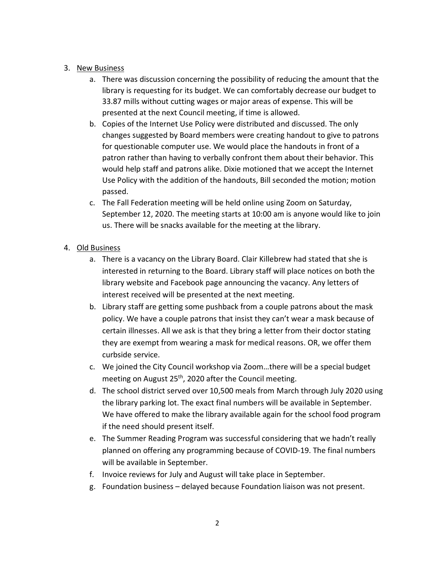### 3. New Business

- a. There was discussion concerning the possibility of reducing the amount that the library is requesting for its budget. We can comfortably decrease our budget to 33.87 mills without cutting wages or major areas of expense. This will be presented at the next Council meeting, if time is allowed.
- b. Copies of the Internet Use Policy were distributed and discussed. The only changes suggested by Board members were creating handout to give to patrons for questionable computer use. We would place the handouts in front of a patron rather than having to verbally confront them about their behavior. This would help staff and patrons alike. Dixie motioned that we accept the Internet Use Policy with the addition of the handouts, Bill seconded the motion; motion passed.
- c. The Fall Federation meeting will be held online using Zoom on Saturday, September 12, 2020. The meeting starts at 10:00 am is anyone would like to join us. There will be snacks available for the meeting at the library.

### 4. Old Business

- a. There is a vacancy on the Library Board. Clair Killebrew had stated that she is interested in returning to the Board. Library staff will place notices on both the library website and Facebook page announcing the vacancy. Any letters of interest received will be presented at the next meeting.
- b. Library staff are getting some pushback from a couple patrons about the mask policy. We have a couple patrons that insist they can't wear a mask because of certain illnesses. All we ask is that they bring a letter from their doctor stating they are exempt from wearing a mask for medical reasons. OR, we offer them curbside service.
- c. We joined the City Council workshop via Zoom…there will be a special budget meeting on August 25<sup>th</sup>, 2020 after the Council meeting.
- d. The school district served over 10,500 meals from March through July 2020 using the library parking lot. The exact final numbers will be available in September. We have offered to make the library available again for the school food program if the need should present itself.
- e. The Summer Reading Program was successful considering that we hadn't really planned on offering any programming because of COVID-19. The final numbers will be available in September.
- f. Invoice reviews for July and August will take place in September.
- g. Foundation business delayed because Foundation liaison was not present.